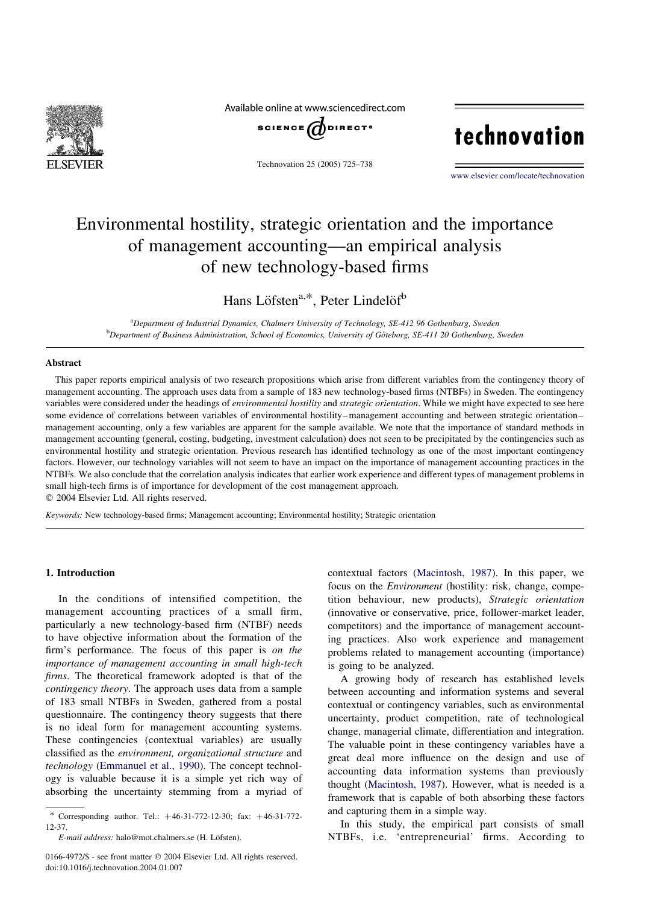

Available online at www.sciencedirect.com



Technovation 25 (2005) 725–738

# technovation

[www.elsevier.com/locate/technovation](http://www.elsevier.com/locate/technovation)

# Environmental hostility, strategic orientation and the importance of management accounting—an empirical analysis of new technology-based firms

Hans Löfsten<sup>a,\*</sup>, Peter Lindelöf<sup>b</sup>

<sup>a</sup>Department of Industrial Dynamics, Chalmers University of Technology, SE-412 96 Gothenburg, Sweden **b** Department of Business Administration, School of Economics, University of Göteborg, SE-411 20 Gothenburg, Sweden

### **Abstract**

This paper reports empirical analysis of two research propositions which arise from different variables from the contingency theory of management accounting. The approach uses data from a sample of 183 new technology-based firms (NTBFs) in Sweden. The contingency variables were considered under the headings of *environmental hostility* and *strategic orientation*. While we might have expected to see here some evidence of correlations between variables of environmental hostility–management accounting and between strategic orientation– management accounting, only a few variables are apparent for the sample available. We note that the importance of standard methods in management accounting (general, costing, budgeting, investment calculation) does not seen to be precipitated by the contingencies such as environmental hostility and strategic orientation. Previous research has identified technology as one of the most important contingency factors. However, our technology variables will not seem to have an impact on the importance of management accounting practices in the NTBFs. We also conclude that the correlation analysis indicates that earlier work experience and different types of management problems in small high-tech firms is of importance for development of the cost management approach.

 $© 2004 Elsevier Ltd. All rights reserved.$ 

Keywords: New technology-based firms; Management accounting; Environmental hostility; Strategic orientation

## 1. Introduction

In the conditions of intensified competition, the management accounting practices of a small firm, particularly a new technology-based firm (NTBF) needs to have objective information about the formation of the firm's performance. The focus of this paper is on the importance of management accounting in small high-tech firms. The theoretical framework adopted is that of the contingency theory. The approach uses data from a sample of 183 small NTBFs in Sweden, gathered from a postal questionnaire. The contingency theory suggests that there is no ideal form for management accounting systems. These contingencies (contextual variables) are usually classified as the environment, organizational structure and technology [\(Emmanuel et al., 1990](#page--1-0)). The concept technology is valuable because it is a simple yet rich way of absorbing the uncertainty stemming from a myriad of contextual factors ([Macintosh, 1987](#page--1-0)). In this paper, we focus on the *Environment* (hostility: risk, change, competition behaviour, new products), Strategic orientation (innovative or conservative, price, follower-market leader, competitors) and the importance of management accounting practices. Also work experience and management problems related to management accounting (importance) is going to be analyzed.

A growing body of research has established levels between accounting and information systems and several contextual or contingency variables, such as environmental uncertainty, product competition, rate of technological change, managerial climate, differentiation and integration. The valuable point in these contingency variables have a great deal more influence on the design and use of accounting data information systems than previously thought [\(Macintosh, 1987\)](#page--1-0). However, what is needed is a framework that is capable of both absorbing these factors and capturing them in a simple way.

In this study, the empirical part consists of small NTBFs, i.e. 'entrepreneurial' firms. According to

<sup>\*</sup> Corresponding author. Tel.:  $+46-31-772-12-30$ ; fax:  $+46-31-772-$ 12-37.

E-mail address: halo@mot.chalmers.se (H. Löfsten).

<sup>0166-4972/\$ -</sup> see front matter © 2004 Elsevier Ltd. All rights reserved. doi:10.1016/j.technovation.2004.01.007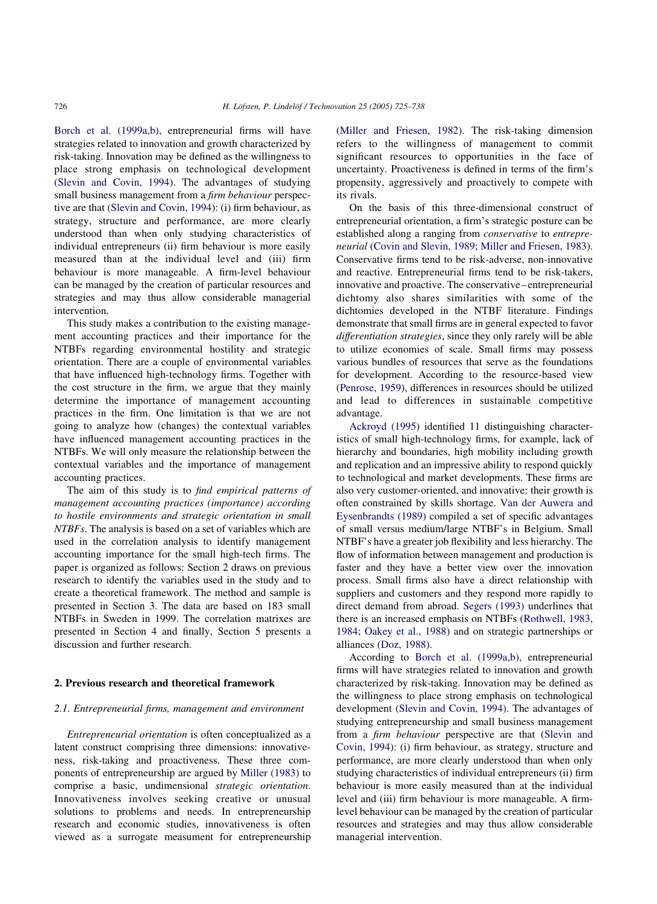[Borch et al. \(1999a,b\)](#page--1-0), entrepreneurial firms will have strategies related to innovation and growth characterized by risk-taking. Innovation may be defined as the willingness to place strong emphasis on technological development ([Slevin and Covin, 1994](#page--1-0)). The advantages of studying small business management from a *firm behaviour* perspective are that [\(Slevin and Covin, 1994](#page--1-0)): (i) firm behaviour, as strategy, structure and performance, are more clearly understood than when only studying characteristics of individual entrepreneurs (ii) firm behaviour is more easily measured than at the individual level and (iii) firm behaviour is more manageable. A firm-level behaviour can be managed by the creation of particular resources and strategies and may thus allow considerable managerial intervention.

This study makes a contribution to the existing management accounting practices and their importance for the NTBFs regarding environmental hostility and strategic orientation. There are a couple of environmental variables that have influenced high-technology firms. Together with the cost structure in the firm, we argue that they mainly determine the importance of management accounting practices in the firm. One limitation is that we are not going to analyze how (changes) the contextual variables have influenced management accounting practices in the NTBFs. We will only measure the relationship between the contextual variables and the importance of management accounting practices.

The aim of this study is to *find empirical patterns of* management accounting practices (importance) according to hostile environments and strategic orientation in small NTBFs. The analysis is based on a set of variables which are used in the correlation analysis to identify management accounting importance for the small high-tech firms. The paper is organized as follows: Section 2 draws on previous research to identify the variables used in the study and to create a theoretical framework. The method and sample is presented in Section 3. The data are based on 183 small NTBFs in Sweden in 1999. The correlation matrixes are presented in Section 4 and finally, Section 5 presents a discussion and further research.

#### 2. Previous research and theoretical framework

### 2.1. Entrepreneurial firms, management and environment

Entrepreneurial orientation is often conceptualized as a latent construct comprising three dimensions: innovativeness, risk-taking and proactiveness. These three components of entrepreneurship are argued by [Miller \(1983\)](#page--1-0) to comprise a basic, undimensional strategic orientation. Innovativeness involves seeking creative or unusual solutions to problems and needs. In entrepreneurship research and economic studies, innovativeness is often viewed as a surrogate measument for entrepreneurship

([Miller and Friesen, 1982](#page--1-0)). The risk-taking dimension refers to the willingness of management to commit significant resources to opportunities in the face of uncertainty. Proactiveness is defined in terms of the firm's propensity, aggressively and proactively to compete with its rivals.

On the basis of this three-dimensional construct of entrepreneurial orientation, a firm's strategic posture can be established along a ranging from conservative to entrepreneurial [\(Covin and Slevin, 1989; Miller and Friesen, 1983\)](#page--1-0). Conservative firms tend to be risk-adverse, non-innovative and reactive. Entrepreneurial firms tend to be risk-takers, innovative and proactive. The conservative–entrepreneurial dichtomy also shares similarities with some of the dichtomies developed in the NTBF literature. Findings demonstrate that small firms are in general expected to favor differentiation strategies, since they only rarely will be able to utilize economies of scale. Small firms may possess various bundles of resources that serve as the foundations for development. According to the resource-based view ([Penrose, 1959\)](#page--1-0), differences in resources should be utilized and lead to differences in sustainable competitive advantage.

[Ackroyd \(1995\)](#page--1-0) identified 11 distinguishing characteristics of small high-technology firms, for example, lack of hierarchy and boundaries, high mobility including growth and replication and an impressive ability to respond quickly to technological and market developments. These firms are also very customer-oriented, and innovative: their growth is often constrained by skills shortage. [Van der Auwera and](#page--1-0) [Eysenbrandts \(1989\)](#page--1-0) compiled a set of specific advantages of small versus medium/large NTBF's in Belgium. Small NTBF's have a greater job flexibility and less hierarchy. The flow of information between management and production is faster and they have a better view over the innovation process. Small firms also have a direct relationship with suppliers and customers and they respond more rapidly to direct demand from abroad. [Segers \(1993\)](#page--1-0) underlines that there is an increased emphasis on NTBFs [\(Rothwell, 1983,](#page--1-0) [1984; Oakey et al., 1988](#page--1-0)) and on strategic partnerships or alliances [\(Doz, 1988](#page--1-0)).

According to [Borch et al. \(1999a,b\),](#page--1-0) entrepreneurial firms will have strategies related to innovation and growth characterized by risk-taking. Innovation may be defined as the willingness to place strong emphasis on technological development ([Slevin and Covin, 1994\)](#page--1-0). The advantages of studying entrepreneurship and small business management from a firm behaviour perspective are that [\(Slevin and](#page--1-0) [Covin, 1994\)](#page--1-0): (i) firm behaviour, as strategy, structure and performance, are more clearly understood than when only studying characteristics of individual entrepreneurs (ii) firm behaviour is more easily measured than at the individual level and (iii) firm behaviour is more manageable. A firmlevel behaviour can be managed by the creation of particular resources and strategies and may thus allow considerable managerial intervention.